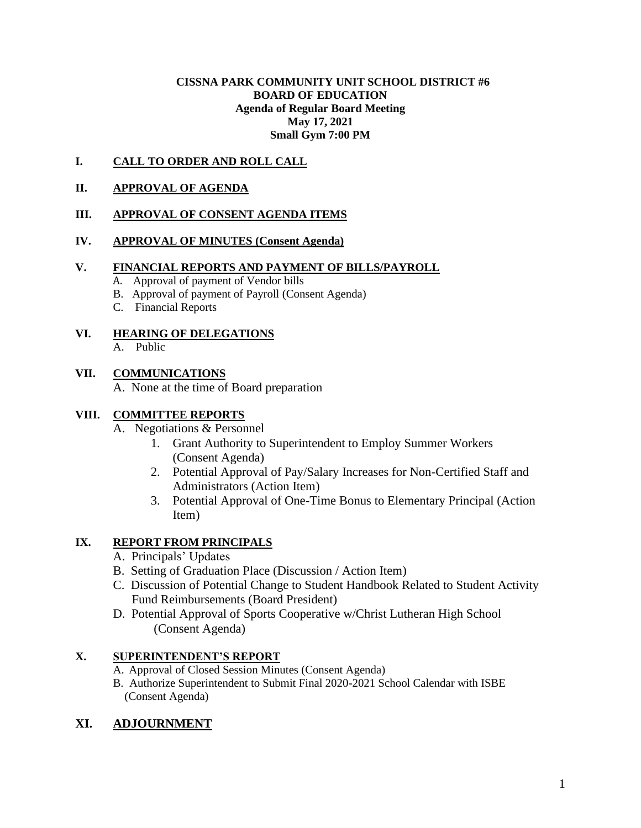#### **CISSNA PARK COMMUNITY UNIT SCHOOL DISTRICT #6 BOARD OF EDUCATION Agenda of Regular Board Meeting May 17, 2021 Small Gym 7:00 PM**

## **I. CALL TO ORDER AND ROLL CALL**

#### **II. APPROVAL OF AGENDA**

## **III. APPROVAL OF CONSENT AGENDA ITEMS**

## **IV. APPROVAL OF MINUTES (Consent Agenda)**

#### **V. FINANCIAL REPORTS AND PAYMENT OF BILLS/PAYROLL**

- A. Approval of payment of Vendor bills
- B. Approval of payment of Payroll (Consent Agenda)
- C. Financial Reports

# **VI. HEARING OF DELEGATIONS**

A. Public

## **VII. COMMUNICATIONS**

A. None at the time of Board preparation

## **VIII. COMMITTEE REPORTS**

- A. Negotiations & Personnel
	- 1. Grant Authority to Superintendent to Employ Summer Workers (Consent Agenda)
	- 2. Potential Approval of Pay/Salary Increases for Non-Certified Staff and Administrators (Action Item)
	- 3. Potential Approval of One-Time Bonus to Elementary Principal (Action Item)

## **IX. REPORT FROM PRINCIPALS**

- A. Principals' Updates
- B. Setting of Graduation Place (Discussion / Action Item)
- C. Discussion of Potential Change to Student Handbook Related to Student Activity Fund Reimbursements (Board President)
- D. Potential Approval of Sports Cooperative w/Christ Lutheran High School (Consent Agenda)

# **X. SUPERINTENDENT'S REPORT**

- A. Approval of Closed Session Minutes (Consent Agenda)
- B. Authorize Superintendent to Submit Final 2020-2021 School Calendar with ISBE (Consent Agenda)

# **XI. ADJOURNMENT**